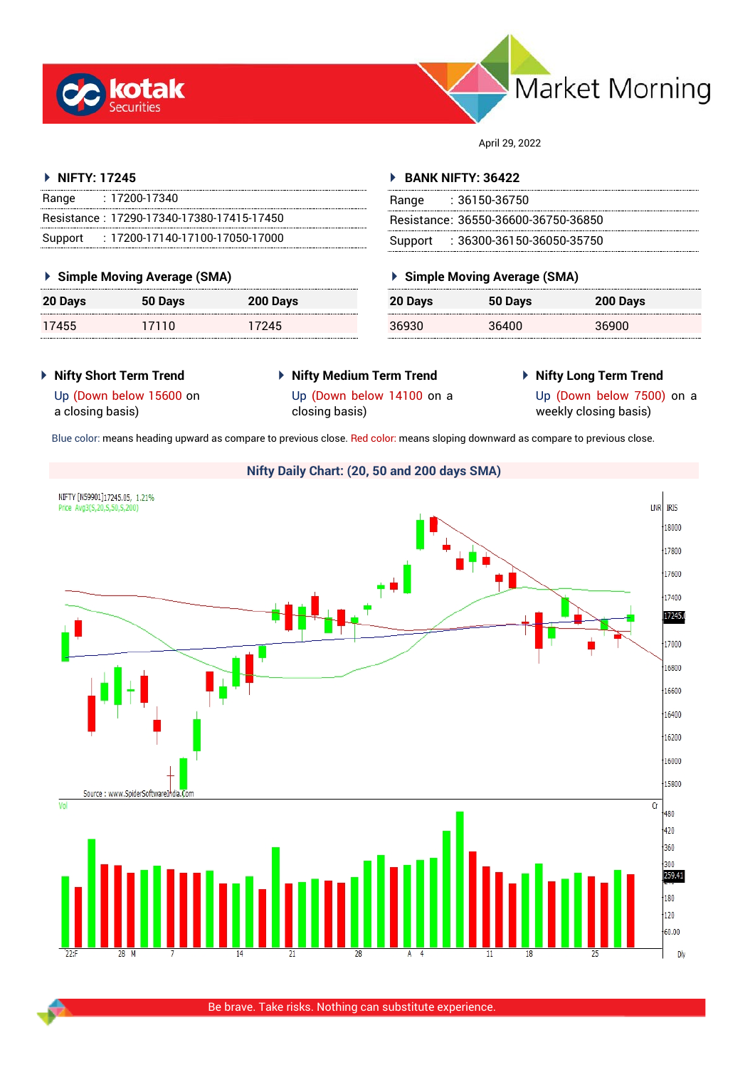



April 29, 2022

## **NIFTY: 17245**

| Range | : 17200-17340                             |
|-------|-------------------------------------------|
|       | Resistance: 17290-17340-17380-17415-17450 |
|       | Support: : 17200-17140-17100-17050-17000  |

## **Simple Moving Average (SMA)**

| 20 Days | 50 Days | 200 Days |
|---------|---------|----------|
| 17455   | 17110   | 17245    |

## **BANK NIFTY: 36422**

| Range | - 36150-36750                       |
|-------|-------------------------------------|
|       | Resistance: 36550-36600-36750-36850 |
|       | Support: 36300-36150-36050-35750    |

## **Simple Moving Average (SMA)**

| 20 Days | 50 Days | 200 Days |
|---------|---------|----------|
| 36930   | 36400   | 36900    |

- **Nifty Short Term Trend**
- **Nifty Medium Term Trend**
- **Nifty Long Term Trend**

Up (Down below 15600 on a closing basis)

Up (Down below 14100 on a closing basis)

Up (Down below 7500) on a weekly closing basis)

Blue color: means heading upward as compare to previous close. Red color: means sloping downward as compare to previous close.



Be brave. Take risks. Nothing can substitute experience.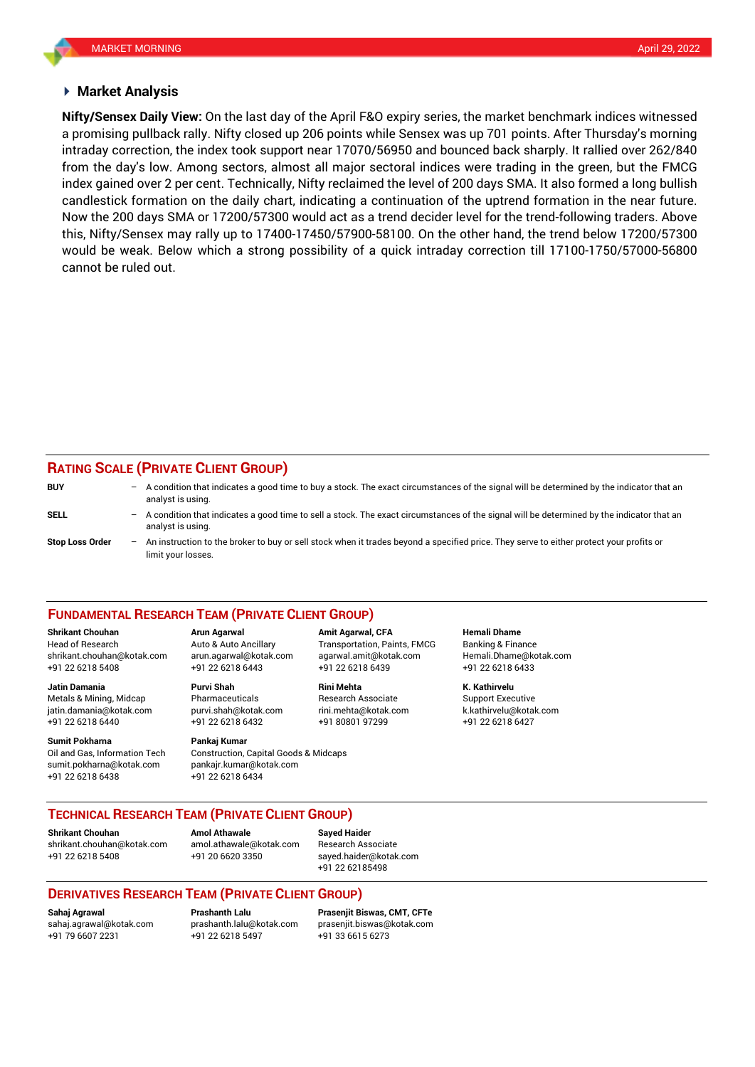### **Market Analysis**

a promising pullback rally. Nifty closed up 206 points while Sensex was up 701 points. After Thursday's morning **Nifty/Sensex Daily View:** On the last day of the April F&O expiry series, the market benchmark indices witnessed intraday correction, the index took support near 17070/56950 and bounced back sharply. It rallied over 262/840 from the day's low. Among sectors, almost all major sectoral indices were trading in the green, but the FMCG index gained over 2 per cent. Technically, Nifty reclaimed the level of 200 days SMA. It also formed a long bullish candlestick formation on the daily chart, indicating a continuation of the uptrend formation in the near future. Now the 200 days SMA or 17200/57300 would act as a trend decider level for the trend-following traders. Above this, Nifty/Sensex may rally up to 17400-17450/57900-58100. On the other hand, the trend below 17200/57300 would be weak. Below which a strong possibility of a quick intraday correction till 17100-1750/57000-56800 cannot be ruled out.

## **RATING SCALE (PRIVATE CLIENT GROUP)**

| <b>BUY</b>             | -   | A condition that indicates a good time to buy a stock. The exact circumstances of the signal will be determined by the indicator that an<br>analyst is using.  |
|------------------------|-----|----------------------------------------------------------------------------------------------------------------------------------------------------------------|
| SELL                   | -   | A condition that indicates a good time to sell a stock. The exact circumstances of the signal will be determined by the indicator that an<br>analyst is using. |
| <b>Stop Loss Order</b> | $-$ | An instruction to the broker to buy or sell stock when it trades beyond a specified price. They serve to either protect your profits or<br>limit your losses.  |

#### **FUNDAMENTAL RESEARCH TEAM (PRIVATE CLIENT GROUP)**

Head of Research Auto & Auto Ancillary Transportation, Paints, FMCG Banking & Finance [shrikant.chouhan@kotak.com](mailto:shrikant.chouhan@kotak.com) arun.agarwal@kotak.com agarwal.amit@kotak.com Hemali.Dhame@kotak.com

**Jatin Damania Purvi Shah Rini Mehta K. Kathirvelu** Metals & Mining, Midcap Pharmaceuticals Research Associate Support Executive jatin.damania@kotak.com [purvi.shah@kotak.com](mailto:purvi.shah@kotak.com) rini.mehta@kotak.com [k.kathirvelu@kotak.com](mailto:k.kathirvelu@kotak.com) +91 22 6218 6440 +91 22 6218 6432 +91 80801 97299 +91 22 6218 6427

Oil and Gas, Information Tech Construction, Capital Goods & Midcaps sumit.pokharna@kotak.com pankajr.kumar@kotak.com

+91 22 6218 5408 +91 22 6218 6443 +91 22 6218 6439 +91 22 6218 6433

# **Sumit Pokharna** Pankaj Kumar

+91 22 6218 6438 +91 22 6218 6434

**Shrikant Chouhan Arun Agarwal Amit Agarwal, CFA Hemali Dhame**

## **TECHNICAL RESEARCH TEAM (PRIVATE CLIENT GROUP)**

**Shrikant Chouhan Amol Athawale Sayed Haider**

[shrikant.chouhan@kotak.com](mailto:shrikant.chouhan@kotak.com) [amol.athawale@kotak.com](mailto:amol.athawale@kotak.com) Research Associate +91 22 6218 5408 +91 20 6620 3350 [sayed.haider@kotak.com](mailto:sayed.haider@kotak.com)

+91 22 62185498

## **DERIVATIVES RESEARCH TEAM (PRIVATE CLIENT GROUP)**

+91 22 6218 5497 +91 33 6615 6273

**Sahaj Agrawal Prashanth Lalu Prasenjit Biswas, CMT, CFTe** [sahaj.agrawal@kotak.com](mailto:sahaj.agrawal@kotak.com) [prashanth.lalu@kotak.com](mailto:prashanth.lalu@kotak.com) [prasenjit.biswas@kotak.com](mailto:prasenjit.biswas@kotak.com)